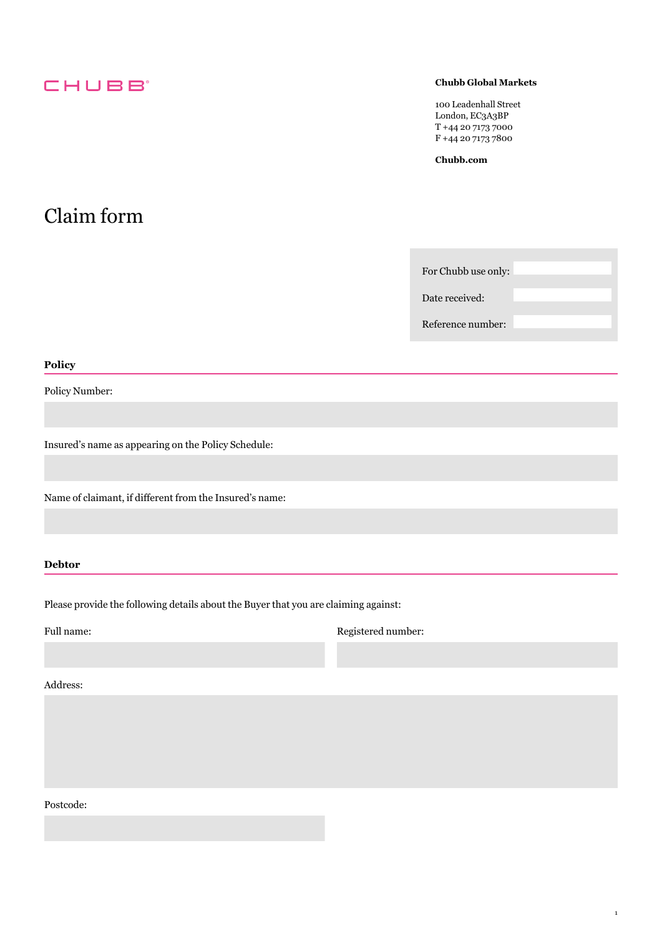## **CHUBB**

#### **Chubb Global Markets**

100 Leadenhall Street London, EC3A3BP T +44 20 7173 7000 F +44 20 7173 7800

**[Chubb.com](https://Chubb.com)** 

## Claim form

For Chubb use only:

Date received:

Reference number:

1

#### **Policy**

Policy Number:

Insured's name as appearing on the Policy Schedule:

Name of claimant, if different from the Insured's name:

#### **Debtor**

Please provide the following details about the Buyer that you are claiming against:

Full name: Registered number:

Address:

Postcode: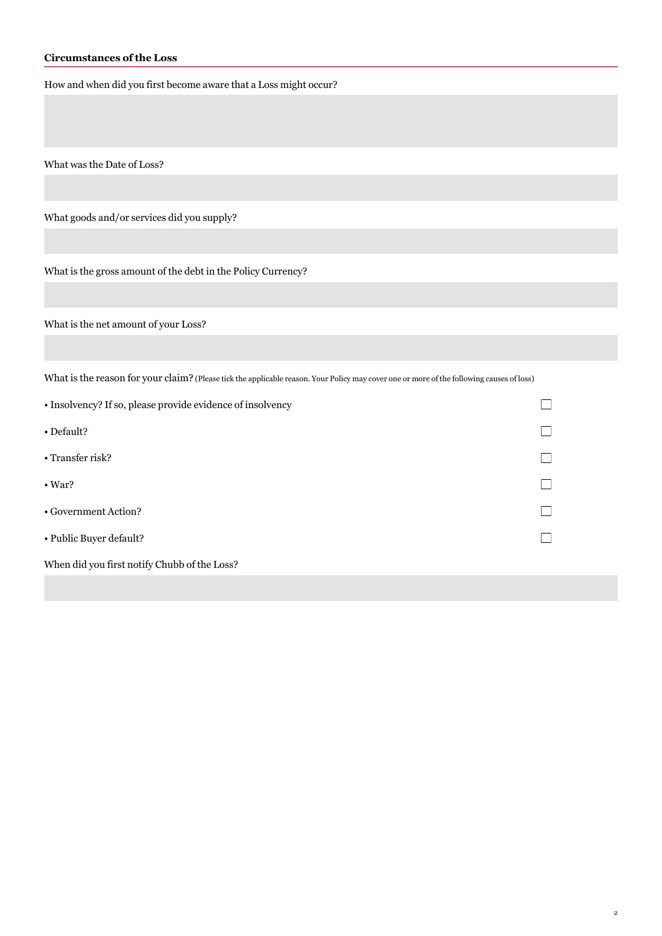#### **Circumstances of the Loss**

How and when did you first become aware that a Loss might occur?

What was the Date of Loss?

What goods and/or services did you supply?

What is the gross amount of the debt in the Policy Currency?

What is the net amount of your Loss?

What is the reason for your claim? (Please tick the applicable reason. Your Policy may cover one or more of the following causes of loss)

| • Insolvency? If so, please provide evidence of insolvency |  |
|------------------------------------------------------------|--|
| • Default?                                                 |  |
| $\cdot$ Transfer risk?                                     |  |
| $\cdot$ War?                                               |  |
| • Government Action?                                       |  |
| • Public Buyer default?                                    |  |
| When did you first notify Chubb of the Loss?               |  |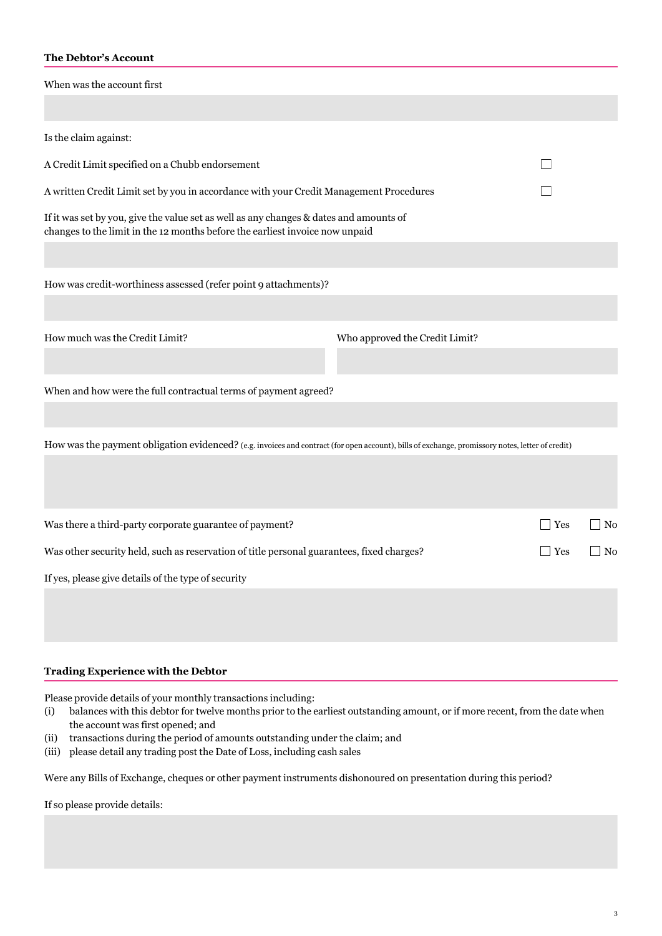#### **The Debtor's Account**

When was the account first

| Is the claim against:                                                                                                                                                  |                                |            |            |
|------------------------------------------------------------------------------------------------------------------------------------------------------------------------|--------------------------------|------------|------------|
| A Credit Limit specified on a Chubb endorsement                                                                                                                        |                                |            |            |
| A written Credit Limit set by you in accordance with your Credit Management Procedures                                                                                 |                                |            |            |
| If it was set by you, give the value set as well as any changes & dates and amounts of<br>changes to the limit in the 12 months before the earliest invoice now unpaid |                                |            |            |
|                                                                                                                                                                        |                                |            |            |
| How was credit-worthiness assessed (refer point 9 attachments)?                                                                                                        |                                |            |            |
|                                                                                                                                                                        |                                |            |            |
| How much was the Credit Limit?                                                                                                                                         | Who approved the Credit Limit? |            |            |
|                                                                                                                                                                        |                                |            |            |
| When and how were the full contractual terms of payment agreed?                                                                                                        |                                |            |            |
|                                                                                                                                                                        |                                |            |            |
| How was the payment obligation evidenced? (e.g. invoices and contract (for open account), bills of exchange, promissory notes, letter of credit)                       |                                |            |            |
|                                                                                                                                                                        |                                |            |            |
|                                                                                                                                                                        |                                |            |            |
| Was there a third-party corporate guarantee of payment?                                                                                                                |                                | $\Box$ Yes | $\vert$ No |
| Was other security held, such as reservation of title personal guarantees, fixed charges?<br><b>Yes</b>                                                                |                                | No         |            |
| If yes, please give details of the type of security                                                                                                                    |                                |            |            |
|                                                                                                                                                                        |                                |            |            |
|                                                                                                                                                                        |                                |            |            |
|                                                                                                                                                                        |                                |            |            |

#### **Trading Experience with the Debtor**

Please provide details of your monthly transactions including:

- $(i)$ balances with this debtor for twelve months prior to the earliest outstanding amount, or if more recent, from the date when the account was first opened; and
- (ii) transactions during the period of amounts outstanding under the claim; and
- (iii) please detail any trading post the Date of Loss, including cash sales

Were any Bills of Exchange, cheques or other payment instruments dishonoured on presentation during this period?

If so please provide details: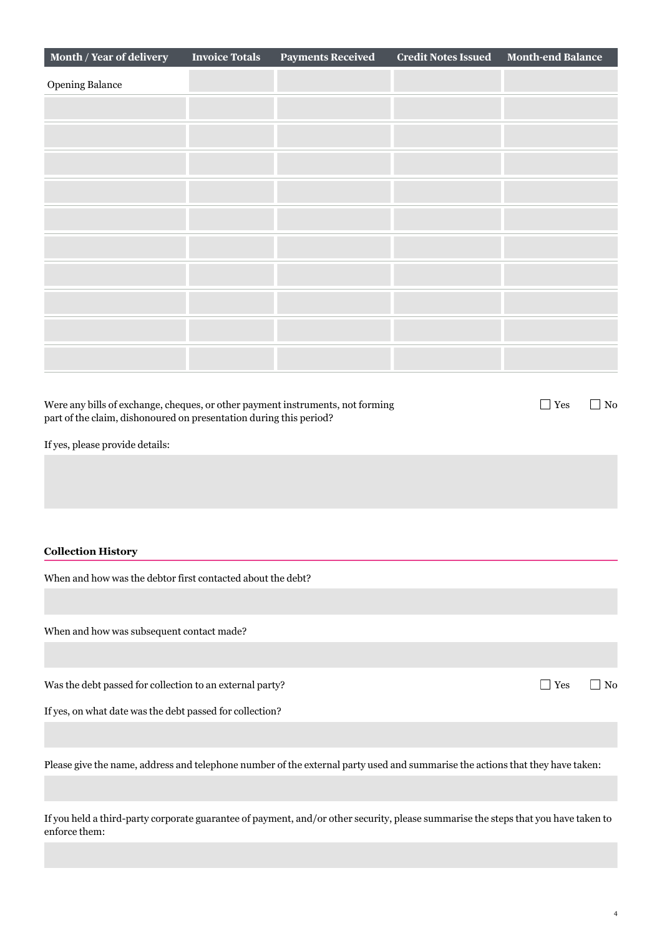| Month / Year of delivery                                                                                                                             | <b>Invoice Totals</b> | <b>Payments Received</b> | <b>Credit Notes Issued</b> | <b>Month-end Balance</b> |                               |
|------------------------------------------------------------------------------------------------------------------------------------------------------|-----------------------|--------------------------|----------------------------|--------------------------|-------------------------------|
| <b>Opening Balance</b>                                                                                                                               |                       |                          |                            |                          |                               |
|                                                                                                                                                      |                       |                          |                            |                          |                               |
|                                                                                                                                                      |                       |                          |                            |                          |                               |
|                                                                                                                                                      |                       |                          |                            |                          |                               |
|                                                                                                                                                      |                       |                          |                            |                          |                               |
|                                                                                                                                                      |                       |                          |                            |                          |                               |
|                                                                                                                                                      |                       |                          |                            |                          |                               |
|                                                                                                                                                      |                       |                          |                            |                          |                               |
|                                                                                                                                                      |                       |                          |                            |                          |                               |
|                                                                                                                                                      |                       |                          |                            |                          |                               |
|                                                                                                                                                      |                       |                          |                            |                          |                               |
|                                                                                                                                                      |                       |                          |                            |                          |                               |
| Were any bills of exchange, cheques, or other payment instruments, not forming<br>part of the claim, dishonoured on presentation during this period? |                       |                          |                            | $\Box$ Yes               | $\Box$ No                     |
| If yes, please provide details:                                                                                                                      |                       |                          |                            |                          |                               |
|                                                                                                                                                      |                       |                          |                            |                          |                               |
|                                                                                                                                                      |                       |                          |                            |                          |                               |
|                                                                                                                                                      |                       |                          |                            |                          |                               |
| <b>Collection History</b>                                                                                                                            |                       |                          |                            |                          |                               |
| When and how was the debtor first contacted about the debt?                                                                                          |                       |                          |                            |                          |                               |
|                                                                                                                                                      |                       |                          |                            |                          |                               |
| When and how was subsequent contact made?                                                                                                            |                       |                          |                            |                          |                               |
|                                                                                                                                                      |                       |                          |                            |                          |                               |
| Was the debt passed for collection to an external party?                                                                                             |                       |                          |                            | $\Box$ Yes               | $\rm No$<br>$\vert \ \ \vert$ |
| If yes, on what date was the debt passed for collection?                                                                                             |                       |                          |                            |                          |                               |
|                                                                                                                                                      |                       |                          |                            |                          |                               |
| Please give the name, address and telephone number of the external party used and summarise the actions that they have taken:                        |                       |                          |                            |                          |                               |
|                                                                                                                                                      |                       |                          |                            |                          |                               |
|                                                                                                                                                      |                       |                          |                            |                          |                               |

If you held a third-party corporate guarantee of payment, and/or other security, please summarise the steps that you have taken to enforce them: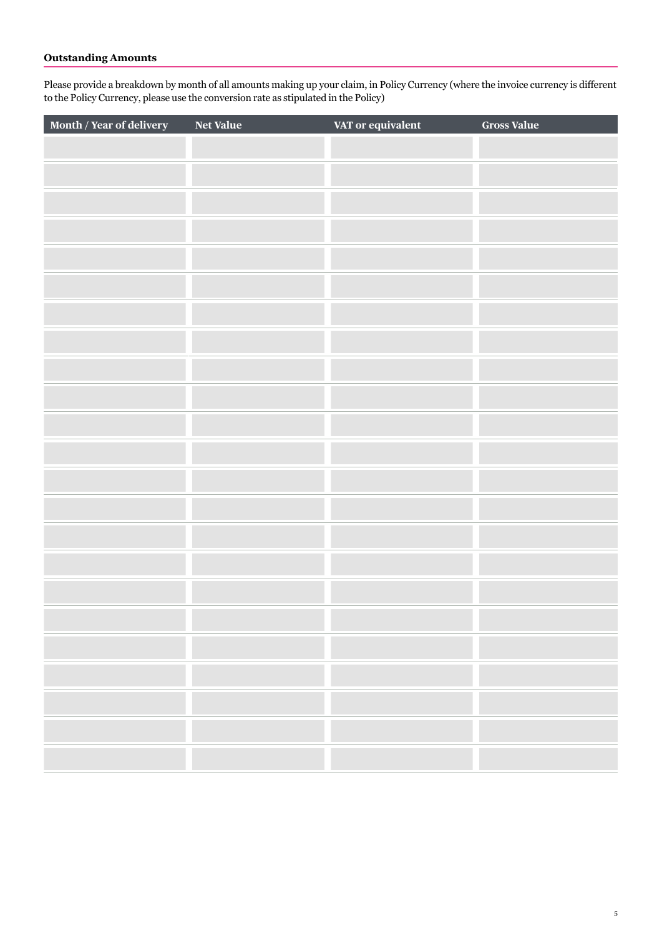### **Outstanding Amounts**

Please provide a breakdown by month of all amounts making up your claim, in Policy Currency (where the invoice currency is different to the Policy Currency, please use the conversion rate as stipulated in the Policy)

| Month / Year of delivery | <b>Net Value</b> | VAT or equivalent | <b>Gross Value</b> |
|--------------------------|------------------|-------------------|--------------------|
|                          |                  |                   |                    |
|                          |                  |                   |                    |
|                          |                  |                   |                    |
|                          |                  |                   |                    |
|                          |                  |                   |                    |
|                          |                  |                   |                    |
|                          |                  |                   |                    |
|                          |                  |                   |                    |
|                          |                  |                   |                    |
|                          |                  |                   |                    |
|                          |                  |                   |                    |
|                          |                  |                   |                    |
|                          |                  |                   |                    |
|                          |                  |                   |                    |
|                          |                  |                   |                    |
|                          |                  |                   |                    |
|                          |                  |                   |                    |
|                          |                  |                   |                    |
|                          |                  |                   |                    |
|                          |                  |                   |                    |
|                          |                  |                   |                    |
|                          |                  |                   |                    |
|                          |                  |                   |                    |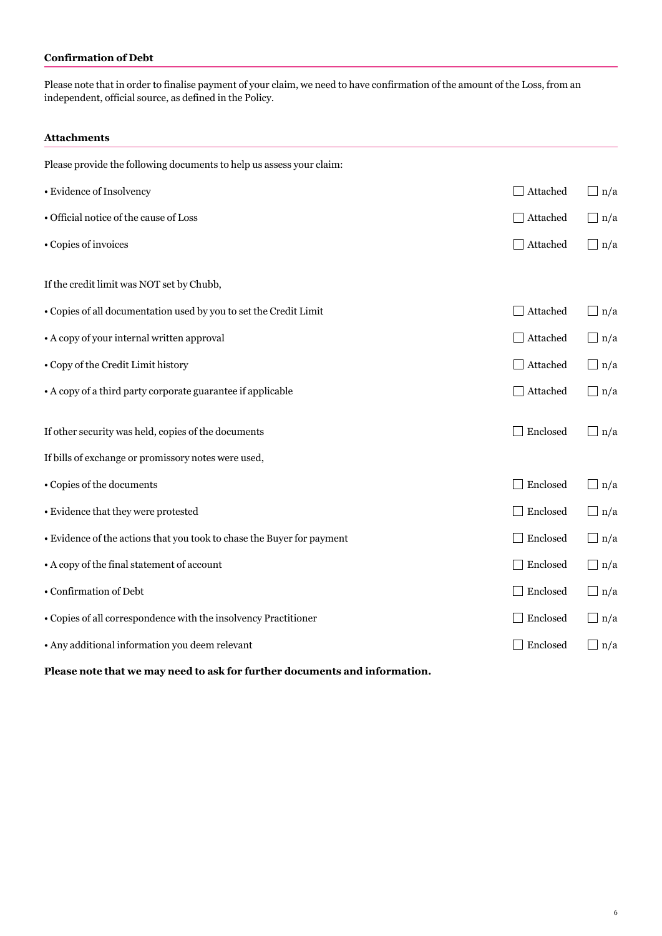#### **Confirmation of Debt**

Please note that in order to finalise payment of your claim, we need to have confirmation of the amount of the Loss, from an independent, official source, as defined in the Policy.

#### **Attachments**

| Please provide the following documents to help us assess your claim:       |          |            |
|----------------------------------------------------------------------------|----------|------------|
| • Evidence of Insolvency                                                   | Attached | $\Box$ n/a |
| • Official notice of the cause of Loss                                     | Attached | $\Box$ n/a |
| • Copies of invoices                                                       | Attached | $\Box$ n/a |
| If the credit limit was NOT set by Chubb,                                  |          |            |
| • Copies of all documentation used by you to set the Credit Limit          | Attached | $\Box$ n/a |
| • A copy of your internal written approval                                 | Attached | $\Box$ n/a |
| • Copy of the Credit Limit history                                         | Attached | $\Box$ n/a |
| • A copy of a third party corporate guarantee if applicable                | Attached | $\Box$ n/a |
| If other security was held, copies of the documents                        | Enclosed | $\Box$ n/a |
| If bills of exchange or promissory notes were used,                        |          |            |
| • Copies of the documents                                                  | Enclosed | $\Box$ n/a |
| • Evidence that they were protested                                        | Enclosed | $\Box$ n/a |
| • Evidence of the actions that you took to chase the Buyer for payment     | Enclosed | $\Box$ n/a |
| • A copy of the final statement of account                                 | Enclosed | $\Box$ n/a |
| • Confirmation of Debt                                                     | Enclosed | $\Box$ n/a |
| • Copies of all correspondence with the insolvency Practitioner            | Enclosed | $\Box$ n/a |
| • Any additional information you deem relevant                             | Enclosed | $\Box$ n/a |
| Please note that we may need to ask for further documents and information. |          |            |